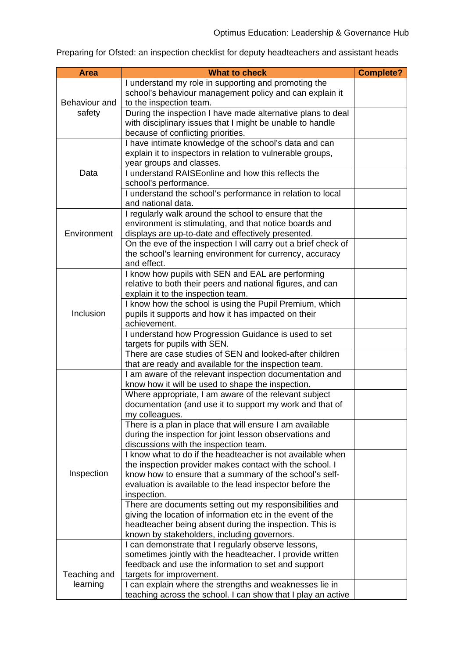Preparing for Ofsted: an inspection checklist for deputy headteachers and assistant heads

| <b>Area</b>             | <b>What to check</b>                                                                                              | <b>Complete?</b> |
|-------------------------|-------------------------------------------------------------------------------------------------------------------|------------------|
|                         | I understand my role in supporting and promoting the                                                              |                  |
| Behaviour and<br>safety | school's behaviour management policy and can explain it                                                           |                  |
|                         | to the inspection team.                                                                                           |                  |
|                         | During the inspection I have made alternative plans to deal                                                       |                  |
|                         | with disciplinary issues that I might be unable to handle                                                         |                  |
|                         | because of conflicting priorities.                                                                                |                  |
| Data                    | I have intimate knowledge of the school's data and can                                                            |                  |
|                         | explain it to inspectors in relation to vulnerable groups,                                                        |                  |
|                         | year groups and classes.                                                                                          |                  |
|                         | I understand RAISE online and how this reflects the                                                               |                  |
|                         | school's performance.                                                                                             |                  |
|                         | I understand the school's performance in relation to local                                                        |                  |
|                         | and national data.                                                                                                |                  |
| Environment             | I regularly walk around the school to ensure that the                                                             |                  |
|                         | environment is stimulating, and that notice boards and                                                            |                  |
|                         | displays are up-to-date and effectively presented.                                                                |                  |
|                         | On the eve of the inspection I will carry out a brief check of                                                    |                  |
|                         | the school's learning environment for currency, accuracy                                                          |                  |
|                         | and effect.                                                                                                       |                  |
|                         | I know how pupils with SEN and EAL are performing                                                                 |                  |
|                         | relative to both their peers and national figures, and can                                                        |                  |
|                         | explain it to the inspection team.                                                                                |                  |
|                         | I know how the school is using the Pupil Premium, which                                                           |                  |
| Inclusion               | pupils it supports and how it has impacted on their                                                               |                  |
|                         | achievement.                                                                                                      |                  |
|                         | I understand how Progression Guidance is used to set                                                              |                  |
|                         | targets for pupils with SEN.                                                                                      |                  |
|                         | There are case studies of SEN and looked-after children                                                           |                  |
|                         | that are ready and available for the inspection team.                                                             |                  |
|                         | I am aware of the relevant inspection documentation and                                                           |                  |
|                         | know how it will be used to shape the inspection.                                                                 |                  |
|                         | Where appropriate, I am aware of the relevant subject<br>documentation (and use it to support my work and that of |                  |
| Inspection              | my colleagues.                                                                                                    |                  |
|                         | There is a plan in place that will ensure I am available                                                          |                  |
|                         | during the inspection for joint lesson observations and                                                           |                  |
|                         | discussions with the inspection team.                                                                             |                  |
|                         | I know what to do if the headteacher is not available when                                                        |                  |
|                         | the inspection provider makes contact with the school. I                                                          |                  |
|                         | know how to ensure that a summary of the school's self-                                                           |                  |
|                         | evaluation is available to the lead inspector before the                                                          |                  |
|                         | inspection.                                                                                                       |                  |
|                         | There are documents setting out my responsibilities and                                                           |                  |
|                         | giving the location of information etc in the event of the                                                        |                  |
|                         | headteacher being absent during the inspection. This is                                                           |                  |
|                         | known by stakeholders, including governors.                                                                       |                  |
|                         | I can demonstrate that I regularly observe lessons,                                                               |                  |
|                         | sometimes jointly with the headteacher. I provide written                                                         |                  |
|                         | feedback and use the information to set and support                                                               |                  |
| Teaching and            | targets for improvement.                                                                                          |                  |
| learning                | I can explain where the strengths and weaknesses lie in                                                           |                  |
|                         | teaching across the school. I can show that I play an active                                                      |                  |